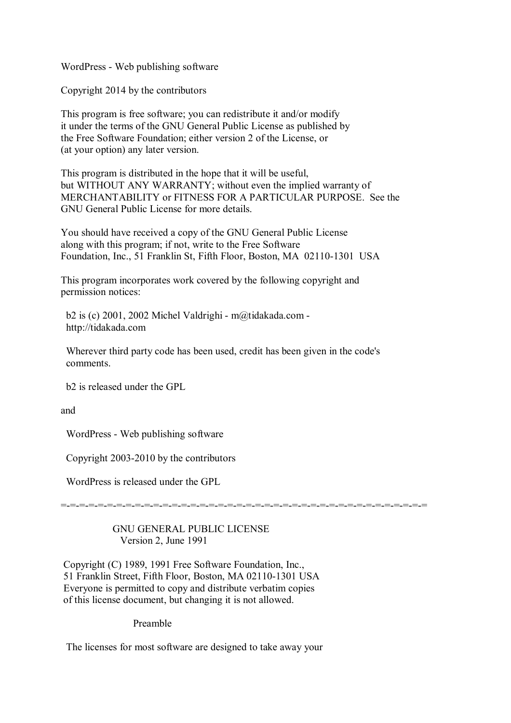WordPress - Web publishing software

Copyright 2014 by the contributors

This program is free software; you can redistribute it and/or modify it under the terms of the GNU General Public License as published by the Free Software Foundation; either version 2 of the License, or (at your option) any later version.

This program is distributed in the hope that it will be useful, but WITHOUT ANY WARRANTY; without even the implied warranty of MERCHANTABILITY or FITNESS FOR A PARTICULAR PURPOSE. See the GNU General Public License for more details.

You should have received a copy of the GNU General Public License along with this program; if not, write to the Free Software Foundation, Inc., 51 Franklin St, Fifth Floor, Boston, MA 02110-1301 USA

This program incorporates work covered by the following copyright and permission notices:

 b2 is (c) 2001, 2002 Michel Valdrighi - m@tidakada.com http://tidakada.com

 Wherever third party code has been used, credit has been given in the code's comments.

b2 is released under the GPL

and

WordPress - Web publishing software

Copyright 2003-2010 by the contributors

WordPress is released under the GPL

=-=-=-=-=-=-=-=-=-=-=-=-=-=-=-=-=-=-=-=-=-=-=-=-=-=-=-=-=-=-=-=-=-=-=-=-=-=-=-=

## GNU GENERAL PUBLIC LICENSE Version 2, June 1991

Copyright (C) 1989, 1991 Free Software Foundation, Inc., 51 Franklin Street, Fifth Floor, Boston, MA 02110-1301 USA Everyone is permitted to copy and distribute verbatim copies of this license document, but changing it is not allowed.

Preamble

The licenses for most software are designed to take away your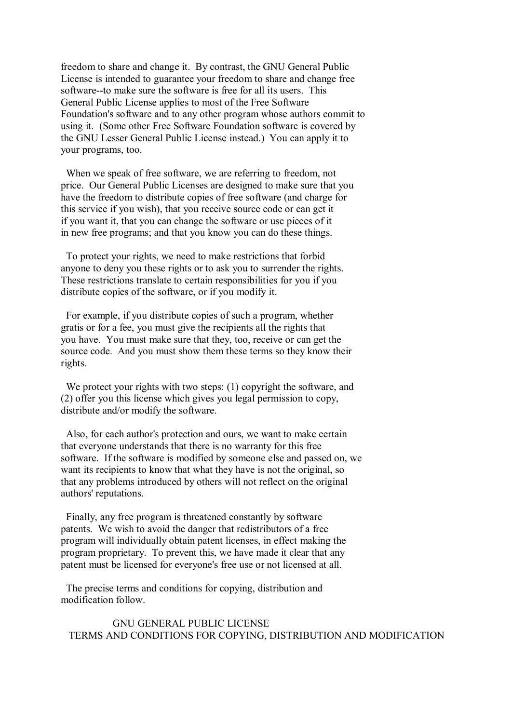freedom to share and change it. By contrast, the GNU General Public License is intended to guarantee your freedom to share and change free software--to make sure the software is free for all its users. This General Public License applies to most of the Free Software Foundation's software and to any other program whose authors commit to using it. (Some other Free Software Foundation software is covered by the GNU Lesser General Public License instead.) You can apply it to your programs, too.

 When we speak of free software, we are referring to freedom, not price. Our General Public Licenses are designed to make sure that you have the freedom to distribute copies of free software (and charge for this service if you wish), that you receive source code or can get it if you want it, that you can change the software or use pieces of it in new free programs; and that you know you can do these things.

 To protect your rights, we need to make restrictions that forbid anyone to deny you these rights or to ask you to surrender the rights. These restrictions translate to certain responsibilities for you if you distribute copies of the software, or if you modify it.

 For example, if you distribute copies of such a program, whether gratis or for a fee, you must give the recipients all the rights that you have. You must make sure that they, too, receive or can get the source code. And you must show them these terms so they know their rights.

We protect your rights with two steps: (1) copyright the software, and (2) offer you this license which gives you legal permission to copy, distribute and/or modify the software.

 Also, for each author's protection and ours, we want to make certain that everyone understands that there is no warranty for this free software. If the software is modified by someone else and passed on, we want its recipients to know that what they have is not the original, so that any problems introduced by others will not reflect on the original authors' reputations.

 Finally, any free program is threatened constantly by software patents. We wish to avoid the danger that redistributors of a free program will individually obtain patent licenses, in effect making the program proprietary. To prevent this, we have made it clear that any patent must be licensed for everyone's free use or not licensed at all.

 The precise terms and conditions for copying, distribution and modification follow.

 GNU GENERAL PUBLIC LICENSE TERMS AND CONDITIONS FOR COPYING, DISTRIBUTION AND MODIFICATION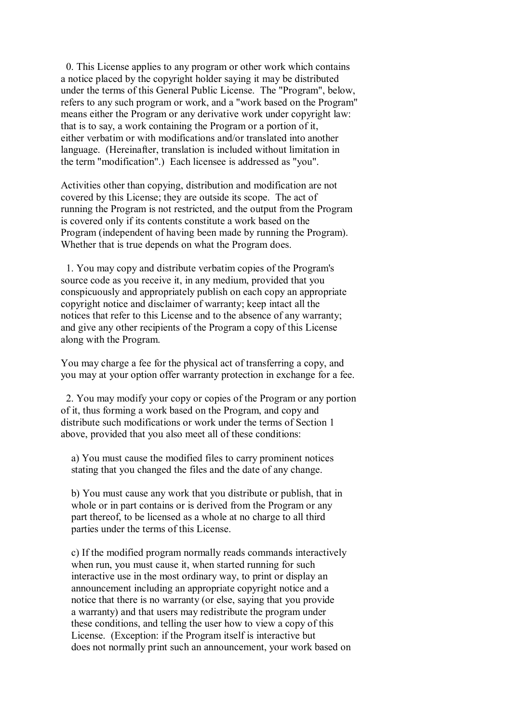0. This License applies to any program or other work which contains a notice placed by the copyright holder saying it may be distributed under the terms of this General Public License. The "Program", below, refers to any such program or work, and a "work based on the Program" means either the Program or any derivative work under copyright law: that is to say, a work containing the Program or a portion of it, either verbatim or with modifications and/or translated into another language. (Hereinafter, translation is included without limitation in the term "modification".) Each licensee is addressed as "you".

Activities other than copying, distribution and modification are not covered by this License; they are outside its scope. The act of running the Program is not restricted, and the output from the Program is covered only if its contents constitute a work based on the Program (independent of having been made by running the Program). Whether that is true depends on what the Program does.

 1. You may copy and distribute verbatim copies of the Program's source code as you receive it, in any medium, provided that you conspicuously and appropriately publish on each copy an appropriate copyright notice and disclaimer of warranty; keep intact all the notices that refer to this License and to the absence of any warranty; and give any other recipients of the Program a copy of this License along with the Program.

You may charge a fee for the physical act of transferring a copy, and you may at your option offer warranty protection in exchange for a fee.

 2. You may modify your copy or copies of the Program or any portion of it, thus forming a work based on the Program, and copy and distribute such modifications or work under the terms of Section 1 above, provided that you also meet all of these conditions:

 a) You must cause the modified files to carry prominent notices stating that you changed the files and the date of any change.

 b) You must cause any work that you distribute or publish, that in whole or in part contains or is derived from the Program or any part thereof, to be licensed as a whole at no charge to all third parties under the terms of this License.

 c) If the modified program normally reads commands interactively when run, you must cause it, when started running for such interactive use in the most ordinary way, to print or display an announcement including an appropriate copyright notice and a notice that there is no warranty (or else, saying that you provide a warranty) and that users may redistribute the program under these conditions, and telling the user how to view a copy of this License. (Exception: if the Program itself is interactive but does not normally print such an announcement, your work based on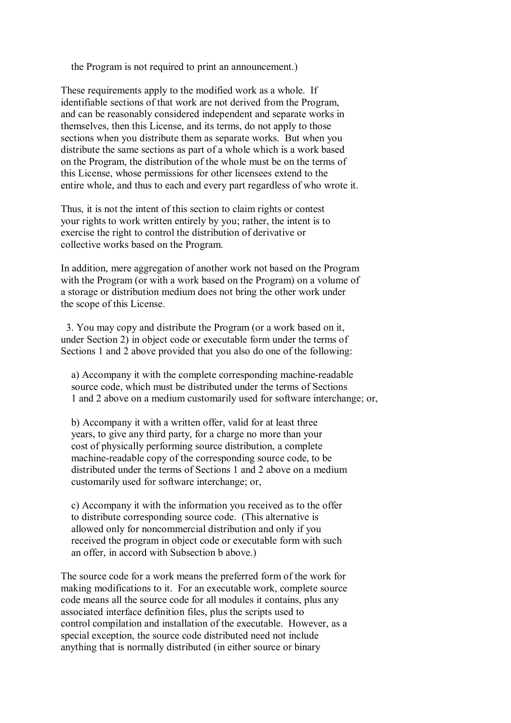the Program is not required to print an announcement.)

These requirements apply to the modified work as a whole. If identifiable sections of that work are not derived from the Program, and can be reasonably considered independent and separate works in themselves, then this License, and its terms, do not apply to those sections when you distribute them as separate works. But when you distribute the same sections as part of a whole which is a work based on the Program, the distribution of the whole must be on the terms of this License, whose permissions for other licensees extend to the entire whole, and thus to each and every part regardless of who wrote it.

Thus, it is not the intent of this section to claim rights or contest your rights to work written entirely by you; rather, the intent is to exercise the right to control the distribution of derivative or collective works based on the Program.

In addition, mere aggregation of another work not based on the Program with the Program (or with a work based on the Program) on a volume of a storage or distribution medium does not bring the other work under the scope of this License.

 3. You may copy and distribute the Program (or a work based on it, under Section 2) in object code or executable form under the terms of Sections 1 and 2 above provided that you also do one of the following:

 a) Accompany it with the complete corresponding machine-readable source code, which must be distributed under the terms of Sections 1 and 2 above on a medium customarily used for software interchange; or,

 b) Accompany it with a written offer, valid for at least three years, to give any third party, for a charge no more than your cost of physically performing source distribution, a complete machine-readable copy of the corresponding source code, to be distributed under the terms of Sections 1 and 2 above on a medium customarily used for software interchange; or,

 c) Accompany it with the information you received as to the offer to distribute corresponding source code. (This alternative is allowed only for noncommercial distribution and only if you received the program in object code or executable form with such an offer, in accord with Subsection b above.)

The source code for a work means the preferred form of the work for making modifications to it. For an executable work, complete source code means all the source code for all modules it contains, plus any associated interface definition files, plus the scripts used to control compilation and installation of the executable. However, as a special exception, the source code distributed need not include anything that is normally distributed (in either source or binary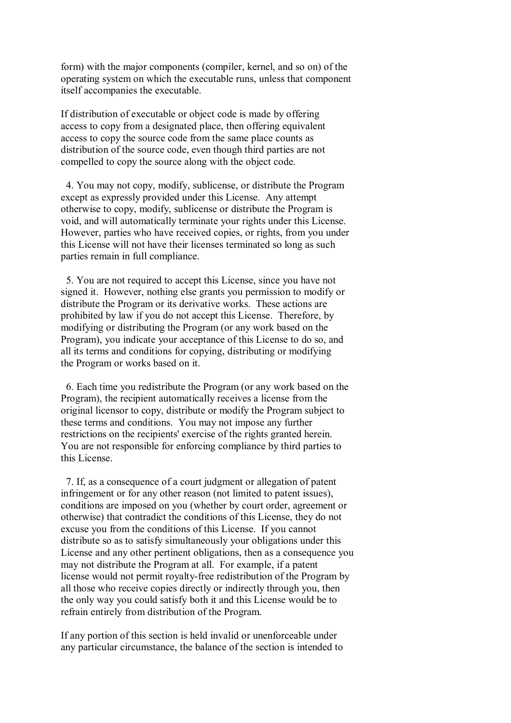form) with the major components (compiler, kernel, and so on) of the operating system on which the executable runs, unless that component itself accompanies the executable.

If distribution of executable or object code is made by offering access to copy from a designated place, then offering equivalent access to copy the source code from the same place counts as distribution of the source code, even though third parties are not compelled to copy the source along with the object code.

 4. You may not copy, modify, sublicense, or distribute the Program except as expressly provided under this License. Any attempt otherwise to copy, modify, sublicense or distribute the Program is void, and will automatically terminate your rights under this License. However, parties who have received copies, or rights, from you under this License will not have their licenses terminated so long as such parties remain in full compliance.

 5. You are not required to accept this License, since you have not signed it. However, nothing else grants you permission to modify or distribute the Program or its derivative works. These actions are prohibited by law if you do not accept this License. Therefore, by modifying or distributing the Program (or any work based on the Program), you indicate your acceptance of this License to do so, and all its terms and conditions for copying, distributing or modifying the Program or works based on it.

 6. Each time you redistribute the Program (or any work based on the Program), the recipient automatically receives a license from the original licensor to copy, distribute or modify the Program subject to these terms and conditions. You may not impose any further restrictions on the recipients' exercise of the rights granted herein. You are not responsible for enforcing compliance by third parties to this License.

 7. If, as a consequence of a court judgment or allegation of patent infringement or for any other reason (not limited to patent issues), conditions are imposed on you (whether by court order, agreement or otherwise) that contradict the conditions of this License, they do not excuse you from the conditions of this License. If you cannot distribute so as to satisfy simultaneously your obligations under this License and any other pertinent obligations, then as a consequence you may not distribute the Program at all. For example, if a patent license would not permit royalty-free redistribution of the Program by all those who receive copies directly or indirectly through you, then the only way you could satisfy both it and this License would be to refrain entirely from distribution of the Program.

If any portion of this section is held invalid or unenforceable under any particular circumstance, the balance of the section is intended to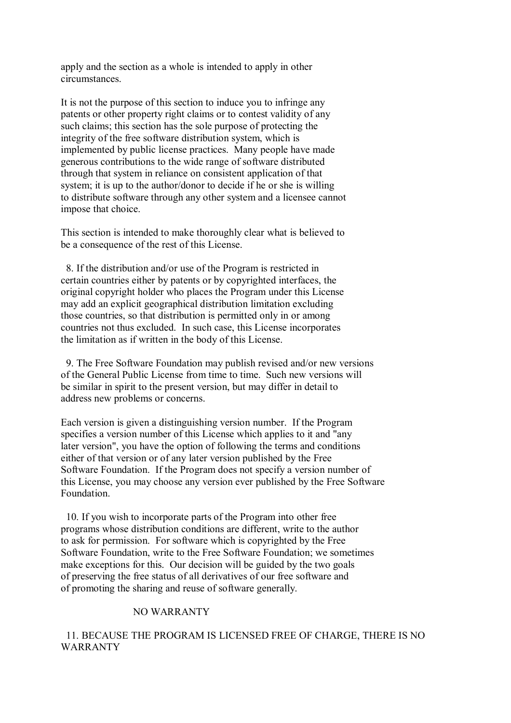apply and the section as a whole is intended to apply in other circumstances.

It is not the purpose of this section to induce you to infringe any patents or other property right claims or to contest validity of any such claims; this section has the sole purpose of protecting the integrity of the free software distribution system, which is implemented by public license practices. Many people have made generous contributions to the wide range of software distributed through that system in reliance on consistent application of that system; it is up to the author/donor to decide if he or she is willing to distribute software through any other system and a licensee cannot impose that choice.

This section is intended to make thoroughly clear what is believed to be a consequence of the rest of this License.

 8. If the distribution and/or use of the Program is restricted in certain countries either by patents or by copyrighted interfaces, the original copyright holder who places the Program under this License may add an explicit geographical distribution limitation excluding those countries, so that distribution is permitted only in or among countries not thus excluded. In such case, this License incorporates the limitation as if written in the body of this License.

 9. The Free Software Foundation may publish revised and/or new versions of the General Public License from time to time. Such new versions will be similar in spirit to the present version, but may differ in detail to address new problems or concerns.

Each version is given a distinguishing version number. If the Program specifies a version number of this License which applies to it and "any later version", you have the option of following the terms and conditions either of that version or of any later version published by the Free Software Foundation. If the Program does not specify a version number of this License, you may choose any version ever published by the Free Software Foundation.

 10. If you wish to incorporate parts of the Program into other free programs whose distribution conditions are different, write to the author to ask for permission. For software which is copyrighted by the Free Software Foundation, write to the Free Software Foundation; we sometimes make exceptions for this. Our decision will be guided by the two goals of preserving the free status of all derivatives of our free software and of promoting the sharing and reuse of software generally.

## NO WARRANTY

 11. BECAUSE THE PROGRAM IS LICENSED FREE OF CHARGE, THERE IS NO WARRANTY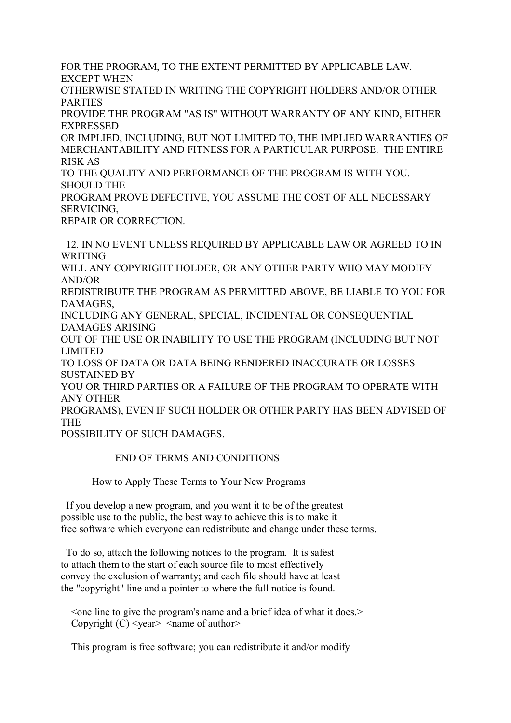FOR THE PROGRAM, TO THE EXTENT PERMITTED BY APPLICABLE LAW. EXCEPT WHEN

OTHERWISE STATED IN WRITING THE COPYRIGHT HOLDERS AND/OR OTHER PARTIES

PROVIDE THE PROGRAM "AS IS" WITHOUT WARRANTY OF ANY KIND, EITHER EXPRESSED

OR IMPLIED, INCLUDING, BUT NOT LIMITED TO, THE IMPLIED WARRANTIES OF MERCHANTABILITY AND FITNESS FOR A PARTICULAR PURPOSE. THE ENTIRE RISK AS

TO THE QUALITY AND PERFORMANCE OF THE PROGRAM IS WITH YOU. SHOULD THE

PROGRAM PROVE DEFECTIVE, YOU ASSUME THE COST OF ALL NECESSARY SERVICING,

REPAIR OR CORRECTION.

 12. IN NO EVENT UNLESS REQUIRED BY APPLICABLE LAW OR AGREED TO IN WRITING WILL ANY COPYRIGHT HOLDER, OR ANY OTHER PARTY WHO MAY MODIFY AND/OR REDISTRIBUTE THE PROGRAM AS PERMITTED ABOVE, BE LIABLE TO YOU FOR DAMAGES, INCLUDING ANY GENERAL, SPECIAL, INCIDENTAL OR CONSEQUENTIAL DAMAGES ARISING OUT OF THE USE OR INABILITY TO USE THE PROGRAM (INCLUDING BUT NOT LIMITED TO LOSS OF DATA OR DATA BEING RENDERED INACCURATE OR LOSSES SUSTAINED BY YOU OR THIRD PARTIES OR A FAILURE OF THE PROGRAM TO OPERATE WITH ANY OTHER PROGRAMS), EVEN IF SUCH HOLDER OR OTHER PARTY HAS BEEN ADVISED OF THE

POSSIBILITY OF SUCH DAMAGES.

END OF TERMS AND CONDITIONS

How to Apply These Terms to Your New Programs

 If you develop a new program, and you want it to be of the greatest possible use to the public, the best way to achieve this is to make it free software which everyone can redistribute and change under these terms.

 To do so, attach the following notices to the program. It is safest to attach them to the start of each source file to most effectively convey the exclusion of warranty; and each file should have at least the "copyright" line and a pointer to where the full notice is found.

 $\leq$  one line to give the program's name and a brief idea of what it does. $\geq$ Copyright  $(C)$  <year > <name of author

This program is free software; you can redistribute it and/or modify